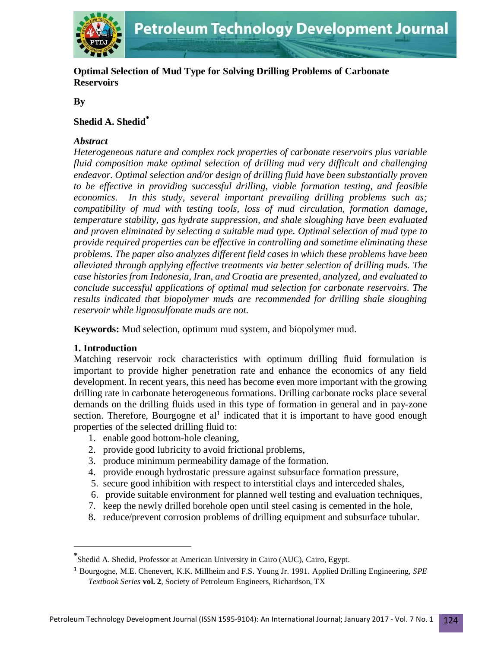

**Optimal Selection of Mud Type for Solving Drilling Problems of Carbonate Reservoirs**

**By**

## **Shedid A. Shedid\***

#### *Abstract*

*Heterogeneous nature and complex rock properties of carbonate reservoirs plus variable fluid composition make optimal selection of drilling mud very difficult and challenging endeavor. Optimal selection and/or design of drilling fluid have been substantially proven to be effective in providing successful drilling, viable formation testing, and feasible economics. In this study, several important prevailing drilling problems such as; compatibility of mud with testing tools, loss of mud circulation, formation damage, temperature stability, gas hydrate suppression, and shale sloughing have been evaluated and proven eliminated by selecting a suitable mud type. Optimal selection of mud type to provide required properties can be effective in controlling and sometime eliminating these problems. The paper also analyzes different field cases in which these problems have been alleviated through applying effective treatments via better selection of drilling muds. The case histories from Indonesia, Iran, and Croatia are presented, analyzed, and evaluated to conclude successful applications of optimal mud selection for carbonate reservoirs. The results indicated that biopolymer muds are recommended for drilling shale sloughing reservoir while lignosulfonate muds are not*.

**Keywords:** Mud selection, optimum mud system, and biopolymer mud.

#### **1. Introduction**

 $\overline{a}$ 

Matching reservoir rock characteristics with optimum drilling fluid formulation is important to provide higher penetration rate and enhance the economics of any field development. In recent years, this need has become even more important with the growing drilling rate in carbonate heterogeneous formations. Drilling carbonate rocks place several demands on the drilling fluids used in this type of formation in general and in pay-zone section. Therefore, Bourgogne et  $al<sup>1</sup>$  indicated that it is important to have good enough properties of the selected drilling fluid to:

- 1. enable good bottom-hole cleaning,
- 2. provide good lubricity to avoid frictional problems,
- 3. produce minimum permeability damage of the formation.
- 4. provide enough hydrostatic pressure against subsurface formation pressure,
- 5. secure good inhibition with respect to interstitial clays and interceded shales,
- 6. provide suitable environment for planned well testing and evaluation techniques,
- 7. keep the newly drilled borehole open until steel casing is cemented in the hole,
- 8. reduce/prevent corrosion problems of drilling equipment and subsurface tubular.

**<sup>\*</sup>** Shedid A. Shedid, Professor at American University in Cairo (AUC), Cairo, Egypt.

<sup>1</sup> Bourgogne, M.E. Chenevert, K.K. Millheim and F.S. Young Jr. 1991. Applied Drilling Engineering, *SPE Textbook Series* **vol. 2**, Society of Petroleum Engineers, Richardson, TX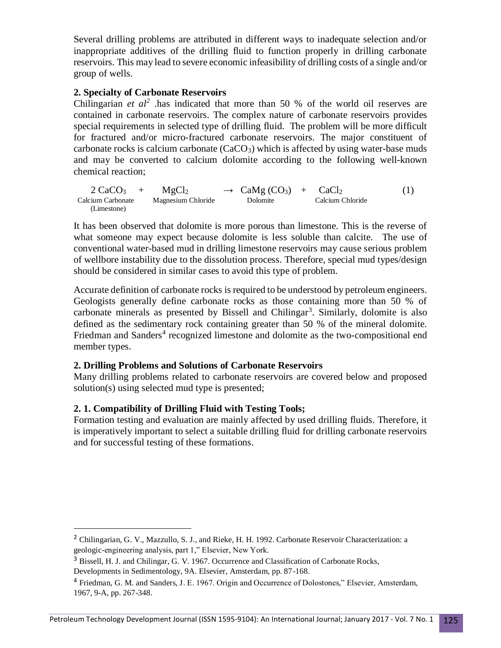Several drilling problems are attributed in different ways to inadequate selection and/or inappropriate additives of the drilling fluid to function properly in drilling carbonate reservoirs. This may lead to severe economic infeasibility of drilling costs of a single and/or group of wells.

## **2. Specialty of Carbonate Reservoirs**

Chilingarian *et*  $al^2$  .has indicated that more than 50 % of the world oil reserves are contained in carbonate reservoirs. The complex nature of carbonate reservoirs provides special requirements in selected type of drilling fluid. The problem will be more difficult for fractured and/or micro-fractured carbonate reservoirs. The major constituent of carbonate rocks is calcium carbonate  $(CaCO<sub>3</sub>)$  which is affected by using water-base muds and may be converted to calcium dolomite according to the following well-known chemical reaction;

 $2 \text{ CaCO}_3 + \text{MgCl}_2 \rightarrow \text{CaMg (CO}_3) + \text{CaCl}_2$  (1) Calcium Carbonate Magnesium Chloride Dolomite Calcium Chloride (Limestone)

It has been observed that dolomite is more porous than limestone. This is the reverse of what someone may expect because dolomite is less soluble than calcite. The use of conventional water-based mud in drilling limestone reservoirs may cause serious problem of wellbore instability due to the dissolution process. Therefore, special mud types/design should be considered in similar cases to avoid this type of problem.

Accurate definition of carbonate rocks is required to be understood by petroleum engineers. Geologists generally define carbonate rocks as those containing more than 50 % of carbonate minerals as presented by Bissell and Chilingar<sup>3</sup>. Similarly, dolomite is also defined as the sedimentary rock containing greater than 50 % of the mineral dolomite. Friedman and Sanders<sup>4</sup> recognized limestone and dolomite as the two-compositional end member types.

#### **2. Drilling Problems and Solutions of Carbonate Reservoirs**

Many drilling problems related to carbonate reservoirs are covered below and proposed solution(s) using selected mud type is presented;

# **2. 1. Compatibility of Drilling Fluid with Testing Tools;**

Formation testing and evaluation are mainly affected by used drilling fluids. Therefore, it is imperatively important to select a suitable drilling fluid for drilling carbonate reservoirs and for successful testing of these formations.

 $\overline{a}$ 

<sup>&</sup>lt;sup>2</sup> Chilingarian, G. V., Mazzullo, S. J., and Rieke, H. H. 1992. Carbonate Reservoir Characterization: a geologic-engineering analysis, part 1," Elsevier, New York.

<sup>&</sup>lt;sup>3</sup> Bissell, H. J. and Chilingar, G. V. 1967. Occurrence and Classification of Carbonate Rocks,

Developments in Sedimentology, 9A. Elsevier, Amsterdam, pp. 87-168.

<sup>4</sup> Friedman, G. M. and Sanders, J. E. 1967. Origin and Occurrence of Dolostones," Elsevier, Amsterdam, 1967, 9-A, pp. 267-348.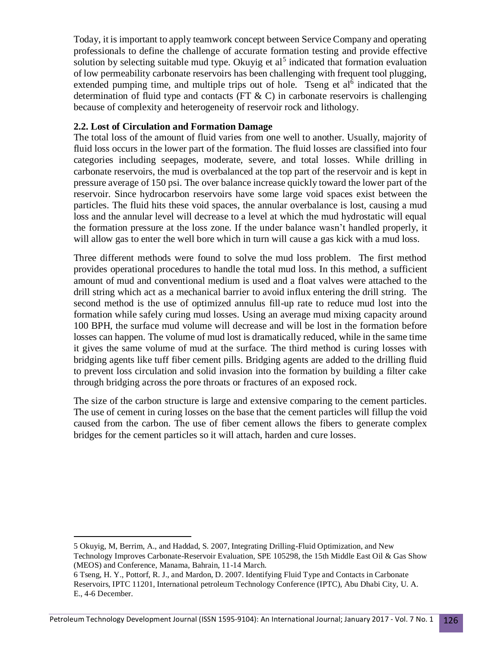Today, it is important to apply teamwork concept between Service Company and operating professionals to define the challenge of accurate formation testing and provide effective solution by selecting suitable mud type. Okuyig et al<sup>5</sup> indicated that formation evaluation of low permeability carbonate reservoirs has been challenging with frequent tool plugging, extended pumping time, and multiple trips out of hole. Tseng et  $al<sup>6</sup>$  indicated that the determination of fluid type and contacts (FT  $\&$  C) in carbonate reservoirs is challenging because of complexity and heterogeneity of reservoir rock and lithology.

### **2.2. Lost of Circulation and Formation Damage**

 $\overline{a}$ 

The total loss of the amount of fluid varies from one well to another. Usually, majority of fluid loss occurs in the lower part of the formation. The fluid losses are classified into four categories including seepages, moderate, severe, and total losses. While drilling in carbonate reservoirs, the mud is overbalanced at the top part of the reservoir and is kept in pressure average of 150 psi. The over balance increase quickly toward the lower part of the reservoir. Since hydrocarbon reservoirs have some large void spaces exist between the particles. The fluid hits these void spaces, the annular overbalance is lost, causing a mud loss and the annular level will decrease to a level at which the mud hydrostatic will equal the formation pressure at the loss zone. If the under balance wasn't handled properly, it will allow gas to enter the well bore which in turn will cause a gas kick with a mud loss.

Three different methods were found to solve the mud loss problem. The first method provides operational procedures to handle the total mud loss. In this method, a sufficient amount of mud and conventional medium is used and a float valves were attached to the drill string which act as a mechanical barrier to avoid influx entering the drill string. The second method is the use of optimized annulus fill-up rate to reduce mud lost into the formation while safely curing mud losses. Using an average mud mixing capacity around 100 BPH, the surface mud volume will decrease and will be lost in the formation before losses can happen. The volume of mud lost is dramatically reduced, while in the same time it gives the same volume of mud at the surface. The third method is curing losses with bridging agents like tuff fiber cement pills. Bridging agents are added to the drilling fluid to prevent loss circulation and solid invasion into the formation by building a filter cake through bridging across the pore throats or fractures of an exposed rock.

The size of the carbon structure is large and extensive comparing to the cement particles. The use of cement in curing losses on the base that the cement particles will fillup the void caused from the carbon. The use of fiber cement allows the fibers to generate complex bridges for the cement particles so it will attach, harden and cure losses.

<sup>5</sup> Okuyig, M, Berrim, A., and Haddad, S. 2007, Integrating Drilling-Fluid Optimization, and New Technology Improves Carbonate-Reservoir Evaluation, SPE 105298, the 15th Middle East Oil & Gas Show (MEOS) and Conference, Manama, Bahrain, 11-14 March.

<sup>6</sup> Tseng, H. Y., Pottorf, R. J., and Mardon, D. 2007. Identifying Fluid Type and Contacts in Carbonate Reservoirs, IPTC 11201, International petroleum Technology Conference (IPTC), Abu Dhabi City, U. A. E., 4-6 December.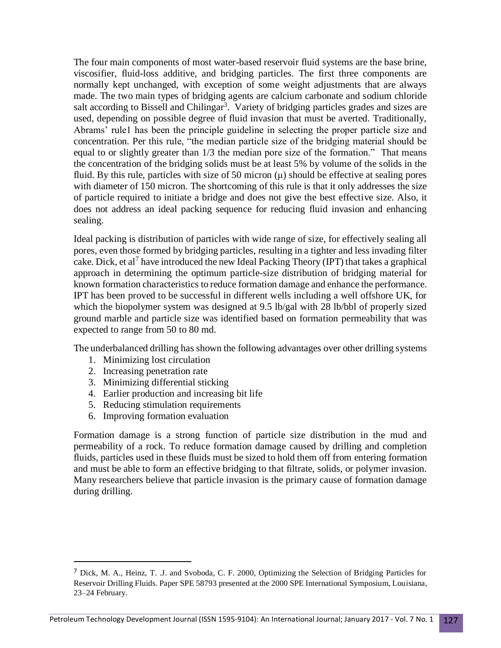The four main components of most water-based reservoir fluid systems are the base brine, viscosifier, fluid-loss additive, and bridging particles. The first three components are normally kept unchanged, with exception of some weight adjustments that are always made. The two main types of bridging agents are calcium carbonate and sodium chloride salt according to Bissell and Chilingar<sup>3</sup>. Variety of bridging particles grades and sizes are used, depending on possible degree of fluid invasion that must be averted. Traditionally, Abrams' rule1 has been the principle guideline in selecting the proper particle size and concentration. Per this rule, "the median particle size of the bridging material should be equal to or slightly greater than 1/3 the median pore size of the formation." That means the concentration of the bridging solids must be at least 5% by volume of the solids in the fluid. By this rule, particles with size of 50 micron  $(\mu)$  should be effective at sealing pores with diameter of 150 micron. The shortcoming of this rule is that it only addresses the size of particle required to initiate a bridge and does not give the best effective size. Also, it does not address an ideal packing sequence for reducing fluid invasion and enhancing sealing.

Ideal packing is distribution of particles with wide range of size, for effectively sealing all pores, even those formed by bridging particles, resulting in a tighter and less invading filter cake. Dick, et al<sup>7</sup> have introduced the new Ideal Packing Theory (IPT) that takes a graphical approach in determining the optimum particle-size distribution of bridging material for known formation characteristics to reduce formation damage and enhance the performance. IPT has been proved to be successful in different wells including a well offshore UK, for which the biopolymer system was designed at 9.5 lb/gal with 28 lb/bbl of properly sized ground marble and particle size was identified based on formation permeability that was expected to range from 50 to 80 md.

The underbalanced drilling has shown the following advantages over other drilling systems

- 1. Minimizing lost circulation
- 2. Increasing penetration rate

 $\overline{a}$ 

- 3. Minimizing differential sticking
- 4. Earlier production and increasing bit life
- 5. Reducing stimulation requirements
- 6. Improving formation evaluation

Formation damage is a strong function of particle size distribution in the mud and permeability of a rock. To reduce formation damage caused by drilling and completion fluids, particles used in these fluids must be sized to hold them off from entering formation and must be able to form an effective bridging to that filtrate, solids, or polymer invasion. Many researchers believe that particle invasion is the primary cause of formation damage during drilling.

<sup>7</sup> Dick, M. A., Heinz, T. .J. and Svoboda, C. F. 2000, Optimizing the Selection of Bridging Particles for Reservoir Drilling Fluids. Paper SPE 58793 presented at the 2000 SPE International Symposium, Louisiana, 23–24 February.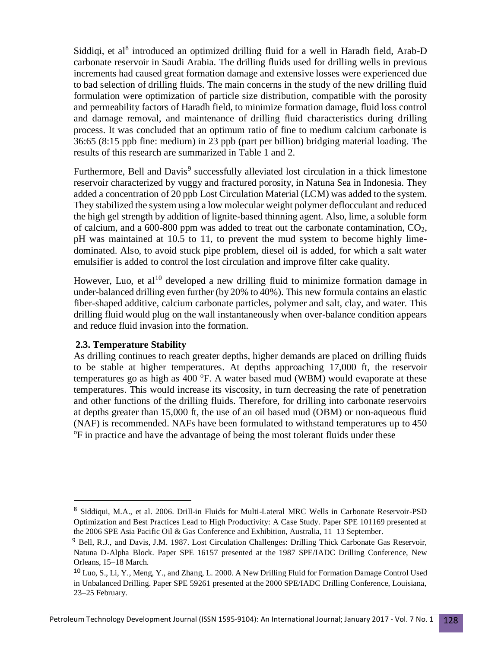Siddiqi, et al<sup>8</sup> introduced an optimized drilling fluid for a well in Haradh field, Arab-D carbonate reservoir in Saudi Arabia. The drilling fluids used for drilling wells in previous increments had caused great formation damage and extensive losses were experienced due to bad selection of drilling fluids. The main concerns in the study of the new drilling fluid formulation were optimization of particle size distribution, compatible with the porosity and permeability factors of Haradh field, to minimize formation damage, fluid loss control and damage removal, and maintenance of drilling fluid characteristics during drilling process. It was concluded that an optimum ratio of fine to medium calcium carbonate is 36:65 (8:15 ppb fine: medium) in 23 ppb (part per billion) bridging material loading. The results of this research are summarized in Table 1 and 2.

Furthermore, Bell and Davis<sup>9</sup> successfully alleviated lost circulation in a thick limestone reservoir characterized by vuggy and fractured porosity, in Natuna Sea in Indonesia. They added a concentration of 20 ppb Lost Circulation Material (LCM) was added to the system. They stabilized the system using a low molecular weight polymer deflocculant and reduced the high gel strength by addition of lignite-based thinning agent. Also, lime, a soluble form of calcium, and a 600-800 ppm was added to treat out the carbonate contamination, CO2, pH was maintained at 10.5 to 11, to prevent the mud system to become highly limedominated. Also, to avoid stuck pipe problem, diesel oil is added, for which a salt water emulsifier is added to control the lost circulation and improve filter cake quality.

However, Luo, et  $al^{10}$  developed a new drilling fluid to minimize formation damage in under-balanced drilling even further (by 20% to  $40\%$ ). This new formula contains an elastic fiber-shaped additive, calcium carbonate particles, polymer and salt, clay, and water. This drilling fluid would plug on the wall instantaneously when over-balance condition appears and reduce fluid invasion into the formation.

#### **2.3. Temperature Stability**

 $\overline{a}$ 

As drilling continues to reach greater depths, higher demands are placed on drilling fluids to be stable at higher temperatures. At depths approaching 17,000 ft, the reservoir temperatures go as high as  $400^{\circ}$ F. A water based mud (WBM) would evaporate at these temperatures. This would increase its viscosity, in turn decreasing the rate of penetration and other functions of the drilling fluids. Therefore, for drilling into carbonate reservoirs at depths greater than 15,000 ft, the use of an oil based mud (OBM) or non-aqueous fluid (NAF) is recommended. NAFs have been formulated to withstand temperatures up to 450 <sup>o</sup>F in practice and have the advantage of being the most tolerant fluids under these

<sup>8</sup> Siddiqui, M.A., et al. 2006. Drill-in Fluids for Multi-Lateral MRC Wells in Carbonate Reservoir-PSD Optimization and Best Practices Lead to High Productivity: A Case Study. Paper SPE 101169 presented at the 2006 SPE Asia Pacific Oil & Gas Conference and Exhibition, Australia, 11–13 September.

<sup>9</sup> Bell, R.J., and Davis, J.M. 1987. Lost Circulation Challenges: Drilling Thick Carbonate Gas Reservoir, Natuna D-Alpha Block. Paper SPE 16157 presented at the 1987 SPE/IADC Drilling Conference, New Orleans, 15–18 March.

<sup>10</sup> Luo, S., Li, Y., Meng, Y., and Zhang, L. 2000. A New Drilling Fluid for Formation Damage Control Used in Unbalanced Drilling. Paper SPE 59261 presented at the 2000 SPE/IADC Drilling Conference, Louisiana, 23–25 February.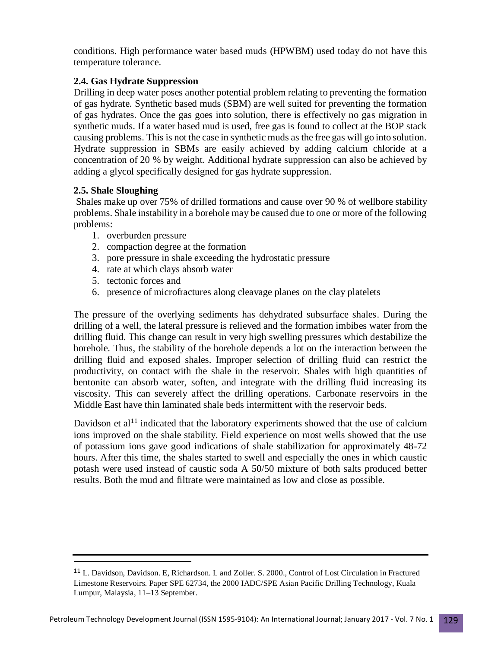conditions. High performance water based muds (HPWBM) used today do not have this temperature tolerance.

# **2.4. Gas Hydrate Suppression**

Drilling in deep water poses another potential problem relating to preventing the formation of gas hydrate. Synthetic based muds (SBM) are well suited for preventing the formation of gas hydrates. Once the gas goes into solution, there is effectively no gas migration in synthetic muds. If a water based mud is used, free gas is found to collect at the BOP stack causing problems. This is not the case in synthetic muds as the free gas will go into solution. Hydrate suppression in SBMs are easily achieved by adding calcium chloride at a concentration of 20 % by weight. Additional hydrate suppression can also be achieved by adding a glycol specifically designed for gas hydrate suppression.

# **2.5. Shale Sloughing**

 $\overline{a}$ 

Shales make up over 75% of drilled formations and cause over 90 % of wellbore stability problems. Shale instability in a borehole may be caused due to one or more of the following problems:

- 1. overburden pressure
- 2. compaction degree at the formation
- 3. pore pressure in shale exceeding the hydrostatic pressure
- 4. rate at which clays absorb water
- 5. tectonic forces and
- 6. presence of microfractures along cleavage planes on the clay platelets

The pressure of the overlying sediments has dehydrated subsurface shales. During the drilling of a well, the lateral pressure is relieved and the formation imbibes water from the drilling fluid. This change can result in very high swelling pressures which destabilize the borehole. Thus, the stability of the borehole depends a lot on the interaction between the drilling fluid and exposed shales. Improper selection of drilling fluid can restrict the productivity, on contact with the shale in the reservoir. Shales with high quantities of bentonite can absorb water, soften, and integrate with the drilling fluid increasing its viscosity. This can severely affect the drilling operations. Carbonate reservoirs in the Middle East have thin laminated shale beds intermittent with the reservoir beds.

Davidson et  $al<sup>11</sup>$  indicated that the laboratory experiments showed that the use of calcium ions improved on the shale stability. Field experience on most wells showed that the use of potassium ions gave good indications of shale stabilization for approximately 48-72 hours. After this time, the shales started to swell and especially the ones in which caustic potash were used instead of caustic soda A 50/50 mixture of both salts produced better results. Both the mud and filtrate were maintained as low and close as possible.

<sup>11</sup> L. Davidson, Davidson. E, Richardson. L and Zoller. S. 2000., Control of Lost Circulation in Fractured Limestone Reservoirs. Paper SPE 62734, the 2000 IADC/SPE Asian Pacific Drilling Technology, Kuala Lumpur, Malaysia, 11–13 September.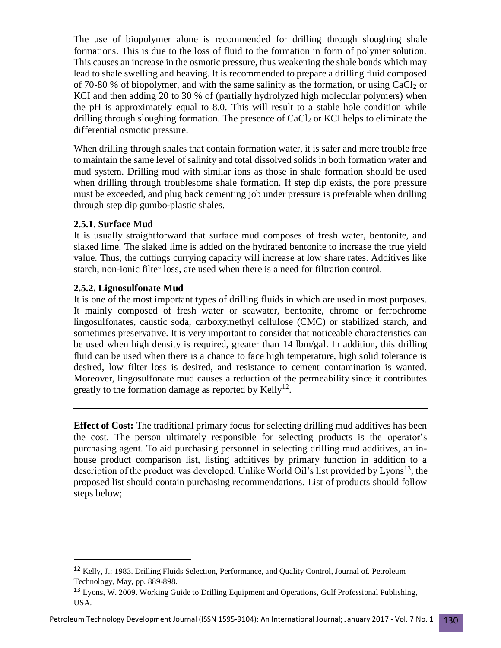The use of biopolymer alone is recommended for drilling through sloughing shale formations. This is due to the loss of fluid to the formation in form of polymer solution. This causes an increase in the osmotic pressure, thus weakening the shale bonds which may lead to shale swelling and heaving. It is recommended to prepare a drilling fluid composed of 70-80 % of biopolymer, and with the same salinity as the formation, or using  $CaCl<sub>2</sub>$  or KCI and then adding 20 to 30 % of (partially hydrolyzed high molecular polymers) when the pH is approximately equal to 8.0. This will result to a stable hole condition while drilling through sloughing formation. The presence of  $CaCl<sub>2</sub>$  or KCI helps to eliminate the differential osmotic pressure.

When drilling through shales that contain formation water, it is safer and more trouble free to maintain the same level of salinity and total dissolved solids in both formation water and mud system. Drilling mud with similar ions as those in shale formation should be used when drilling through troublesome shale formation. If step dip exists, the pore pressure must be exceeded, and plug back cementing job under pressure is preferable when drilling through step dip gumbo-plastic shales.

#### **2.5.1. Surface Mud**

 $\overline{a}$ 

It is usually straightforward that surface mud composes of fresh water, bentonite, and slaked lime. The slaked lime is added on the hydrated bentonite to increase the true yield value. Thus, the cuttings currying capacity will increase at low share rates. Additives like starch, non-ionic filter loss, are used when there is a need for filtration control.

#### **2.5.2. Lignosulfonate Mud**

It is one of the most important types of drilling fluids in which are used in most purposes. It mainly composed of fresh water or seawater, bentonite, chrome or ferrochrome lingosulfonates, caustic soda, carboxymethyl cellulose (CMC) or stabilized starch, and sometimes preservative. It is very important to consider that noticeable characteristics can be used when high density is required, greater than 14 lbm/gal. In addition, this drilling fluid can be used when there is a chance to face high temperature, high solid tolerance is desired, low filter loss is desired, and resistance to cement contamination is wanted. Moreover, lingosulfonate mud causes a reduction of the permeability since it contributes greatly to the formation damage as reported by Kelly<sup>12</sup>.

**Effect of Cost:** The traditional primary focus for selecting drilling mud additives has been the cost. The person ultimately responsible for selecting products is the operator's purchasing agent. To aid purchasing personnel in selecting drilling mud additives, an inhouse product comparison list, listing additives by primary function in addition to a description of the product was developed. Unlike World Oil's list provided by Lyons<sup>13</sup>, the proposed list should contain purchasing recommendations. List of products should follow steps below;

<sup>12</sup> Kelly, J.; 1983. Drilling Fluids Selection, Performance, and Quality Control, Journal of. Petroleum Technology, May, pp. 889-898.

<sup>&</sup>lt;sup>13</sup> Lyons, W. 2009. Working Guide to Drilling Equipment and Operations, Gulf Professional Publishing, USA.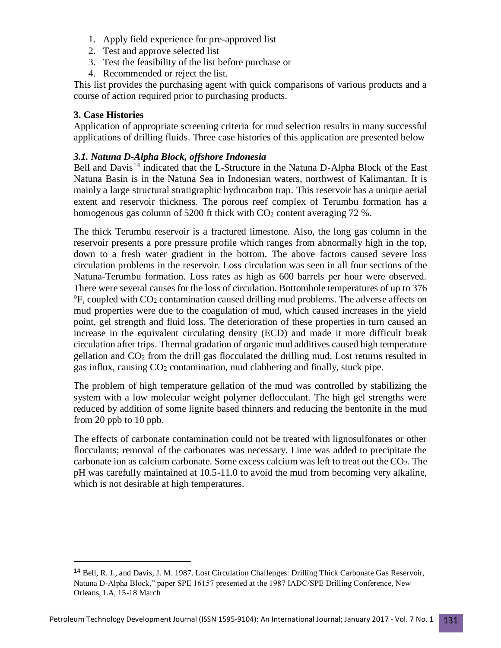- 1. Apply field experience for pre-approved list
- 2. Test and approve selected list
- 3. Test the feasibility of the list before purchase or
- 4. Recommended or reject the list.

This list provides the purchasing agent with quick comparisons of various products and a course of action required prior to purchasing products.

### **3. Case Histories**

 $\overline{a}$ 

Application of appropriate screening criteria for mud selection results in many successful applications of drilling fluids. Three case histories of this application are presented below

#### *3.1. Natuna D-Alpha Block, offshore Indonesia*

Bell and Davis<sup>14</sup> indicated that the L-Structure in the Natuna D-Alpha Block of the East Natuna Basin is in the Natuna Sea in Indonesian waters, northwest of Kalimantan. It is mainly a large structural stratigraphic hydrocarbon trap. This reservoir has a unique aerial extent and reservoir thickness. The porous reef complex of Terumbu formation has a homogenous gas column of 5200 ft thick with  $CO<sub>2</sub>$  content averaging 72 %.

The thick Terumbu reservoir is a fractured limestone. Also, the long gas column in the reservoir presents a pore pressure profile which ranges from abnormally high in the top, down to a fresh water gradient in the bottom. The above factors caused severe loss circulation problems in the reservoir. Loss circulation was seen in all four sections of the Natuna-Terumbu formation. Loss rates as high as 600 barrels per hour were observed. There were several causes for the loss of circulation. Bottomhole temperatures of up to 376  $\rm{^{\circ}F}$ , coupled with CO<sub>2</sub> contamination caused drilling mud problems. The adverse affects on mud properties were due to the coagulation of mud, which caused increases in the yield point, gel strength and fluid loss. The deterioration of these properties in turn caused an increase in the equivalent circulating density (ECD) and made it more difficult break circulation after trips. Thermal gradation of organic mud additives caused high temperature gellation and CO<sup>2</sup> from the drill gas flocculated the drilling mud. Lost returns resulted in gas influx, causing  $CO<sub>2</sub>$  contamination, mud clabbering and finally, stuck pipe.

The problem of high temperature gellation of the mud was controlled by stabilizing the system with a low molecular weight polymer deflocculant. The high gel strengths were reduced by addition of some lignite based thinners and reducing the bentonite in the mud from 20 ppb to 10 ppb.

The effects of carbonate contamination could not be treated with lignosulfonates or other flocculants; removal of the carbonates was necessary. Lime was added to precipitate the carbonate ion as calcium carbonate. Some excess calcium was left to treat out the  $CO<sub>2</sub>$ . The pH was carefully maintained at 10.5-11.0 to avoid the mud from becoming very alkaline, which is not desirable at high temperatures.

<sup>&</sup>lt;sup>14</sup> Bell, R. J., and Davis, J. M. 1987. Lost Circulation Challenges: Drilling Thick Carbonate Gas Reservoir, Natuna D-Alpha Block," paper SPE 16157 presented at the 1987 IADC/SPE Drilling Conference, New Orleans, LA, 15-18 March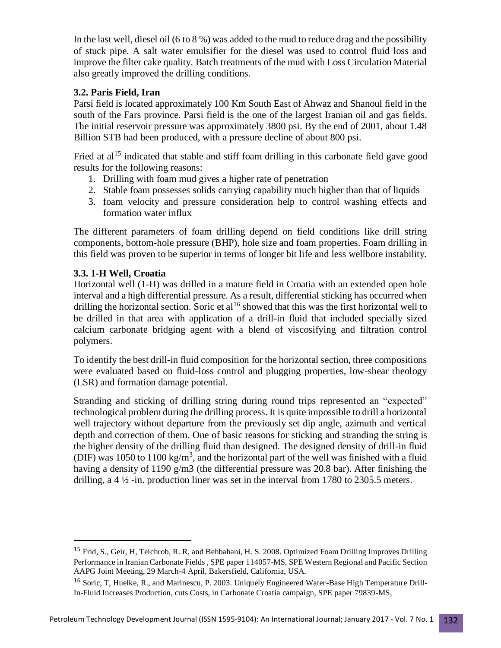In the last well, diesel oil (6 to 8 %) was added to the mud to reduce drag and the possibility of stuck pipe. A salt water emulsifier for the diesel was used to control fluid loss and improve the filter cake quality. Batch treatments of the mud with Loss Circulation Material also greatly improved the drilling conditions.

# **3.2. Paris Field, Iran**

Parsi field is located approximately 100 Km South East of Ahwaz and Shanoul field in the south of the Fars province. Parsi field is the one of the largest Iranian oil and gas fields. The initial reservoir pressure was approximately 3800 psi. By the end of 2001, about 1.48 Billion STB had been produced, with a pressure decline of about 800 psi.

Fried at  $al^{15}$  indicated that stable and stiff foam drilling in this carbonate field gave good results for the following reasons:

- 1. Drilling with foam mud gives a higher rate of penetration
- 2. Stable foam possesses solids carrying capability much higher than that of liquids
- 3. foam velocity and pressure consideration help to control washing effects and formation water influx

The different parameters of foam drilling depend on field conditions like drill string components, bottom-hole pressure (BHP), hole size and foam properties. Foam drilling in this field was proven to be superior in terms of longer bit life and less wellbore instability.

# **3.3. 1-H Well, Croatia**

 $\overline{a}$ 

Horizontal well (1-H) was drilled in a mature field in Croatia with an extended open hole interval and a high differential pressure. As a result, differential sticking has occurred when drilling the horizontal section. Soric et al<sup>16</sup> showed that this was the first horizontal well to be drilled in that area with application of a drill-in fluid that included specially sized calcium carbonate bridging agent with a blend of viscosifying and filtration control polymers.

To identify the best drill-in fluid composition for the horizontal section, three compositions were evaluated based on fluid-loss control and plugging properties, low-shear rheology (LSR) and formation damage potential.

Stranding and sticking of drilling string during round trips represented an "expected" technological problem during the drilling process. It is quite impossible to drill a horizontal well trajectory without departure from the previously set dip angle, azimuth and vertical depth and correction of them. One of basic reasons for sticking and stranding the string is the higher density of the drilling fluid than designed. The designed density of drill-in fluid (DIF) was 1050 to 1100 kg/m<sup>3</sup>, and the horizontal part of the well was finished with a fluid having a density of 1190 g/m3 (the differential pressure was 20.8 bar). After finishing the drilling, a  $4\frac{1}{2}$ -in. production liner was set in the interval from 1780 to 2305.5 meters.

<sup>&</sup>lt;sup>15</sup> Frid, S., Geir, H, Teichrob, R. R, and Behbahani, H. S. 2008. Optimized Foam Drilling Improves Drilling Performance [in Iranian Carbonate Fields ,](https://www.onepetro.org/conference-paper/SPE-114057-MS?sort=&start=0&q=Parsi+Field%2C+Iran&from_year=&peer_reviewed=&published_between=&fromSearchResults=true&to_year=&rows=10) SPE paper 114057-MS, SPE Western Regional and Pacific Section AAPG Joint Meeting, 29 March-4 April, Bakersfield, California, USA.

<sup>16</sup> Soric, T, Huelke, R., and Marinescu, P. 2003. Uniquely Engineered Water-Base High Temperature Drill-In-Fluid Increases Production, cuts Costs, in Carbonate Croatia campaign, SPE paper 79839-MS,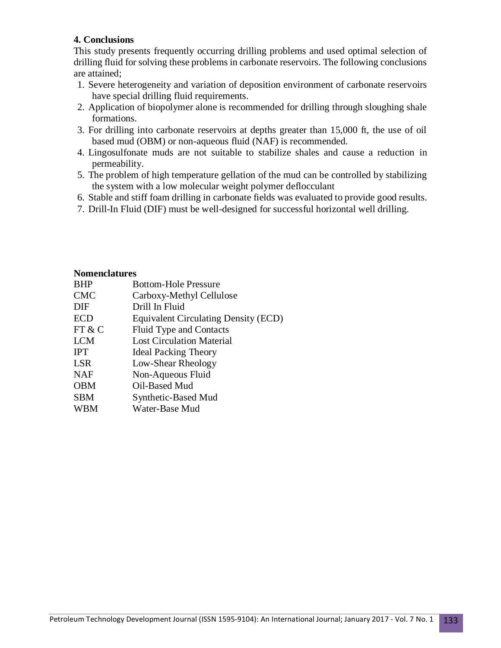## **4. Conclusions**

This study presents frequently occurring drilling problems and used optimal selection of drilling fluid for solving these problems in carbonate reservoirs. The following conclusions are attained;

- 1. Severe heterogeneity and variation of deposition environment of carbonate reservoirs have special drilling fluid requirements.
- 2. Application of biopolymer alone is recommended for drilling through sloughing shale formations.
- 3. For drilling into carbonate reservoirs at depths greater than 15,000 ft, the use of oil based mud (OBM) or non-aqueous fluid (NAF) is recommended.
- 4. Lingosulfonate muds are not suitable to stabilize shales and cause a reduction in permeability.
- 5. The problem of high temperature gellation of the mud can be controlled by stabilizing the system with a low molecular weight polymer deflocculant
- 6. Stable and stiff foam drilling in carbonate fields was evaluated to provide good results.
- 7. Drill-In Fluid (DIF) must be well-designed for successful horizontal well drilling.

#### **Nomenclatures**

| <b>BHP</b> | <b>Bottom-Hole Pressure</b>                 |
|------------|---------------------------------------------|
| <b>CMC</b> | Carboxy-Methyl Cellulose                    |
| DIF        | Drill In Fluid                              |
| <b>ECD</b> | <b>Equivalent Circulating Density (ECD)</b> |
| FT & C     | <b>Fluid Type and Contacts</b>              |
| <b>LCM</b> | <b>Lost Circulation Material</b>            |
| <b>IPT</b> | <b>Ideal Packing Theory</b>                 |
| <b>LSR</b> | Low-Shear Rheology                          |
| <b>NAF</b> | Non-Aqueous Fluid                           |
| <b>OBM</b> | Oil-Based Mud                               |
| <b>SBM</b> | Synthetic-Based Mud                         |
| <b>WBM</b> | Water-Base Mud                              |
|            |                                             |